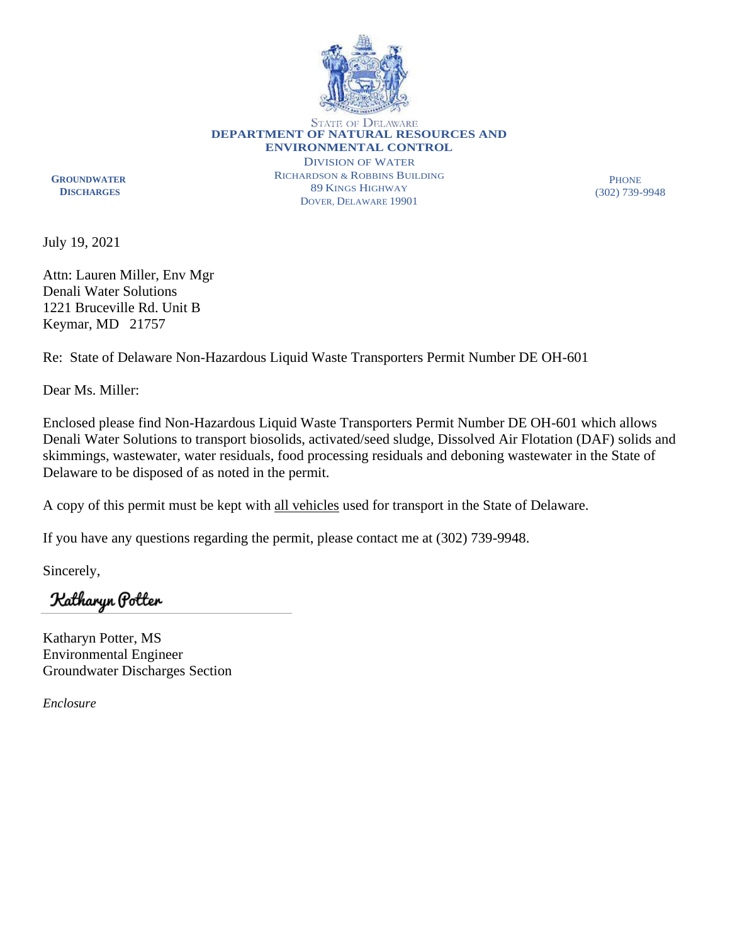

**STATE OF DELAWARE DEPARTMENT OF NATURAL RESOURCES AND ENVIRONMENTAL CONTROL**

 **GROUNDWATER DISCHARGES**

DIVISION OF WATER RICHARDSON & ROBBINS BUILDING 89 KINGS HIGHWAY DOVER, DELAWARE 19901

**PHONE** (302) 739-9948

July 19, 2021

Attn: Lauren Miller, Env Mgr Denali Water Solutions 1221 Bruceville Rd. Unit B Keymar, MD 21757

Re: State of Delaware Non-Hazardous Liquid Waste Transporters Permit Number DE OH-601

Dear Ms. Miller:

Enclosed please find Non-Hazardous Liquid Waste Transporters Permit Number DE OH-601 which allows Denali Water Solutions to transport biosolids, activated/seed sludge, Dissolved Air Flotation (DAF) solids and skimmings, wastewater, water residuals, food processing residuals and deboning wastewater in the State of Delaware to be disposed of as noted in the permit.

A copy of this permit must be kept with all vehicles used for transport in the State of Delaware.

If you have any questions regarding the permit, please contact me at (302) 739-9948.

Sincerely,

Katharyn Potter

Katharyn Potter, MS Environmental Engineer Groundwater Discharges Section

*Enclosure*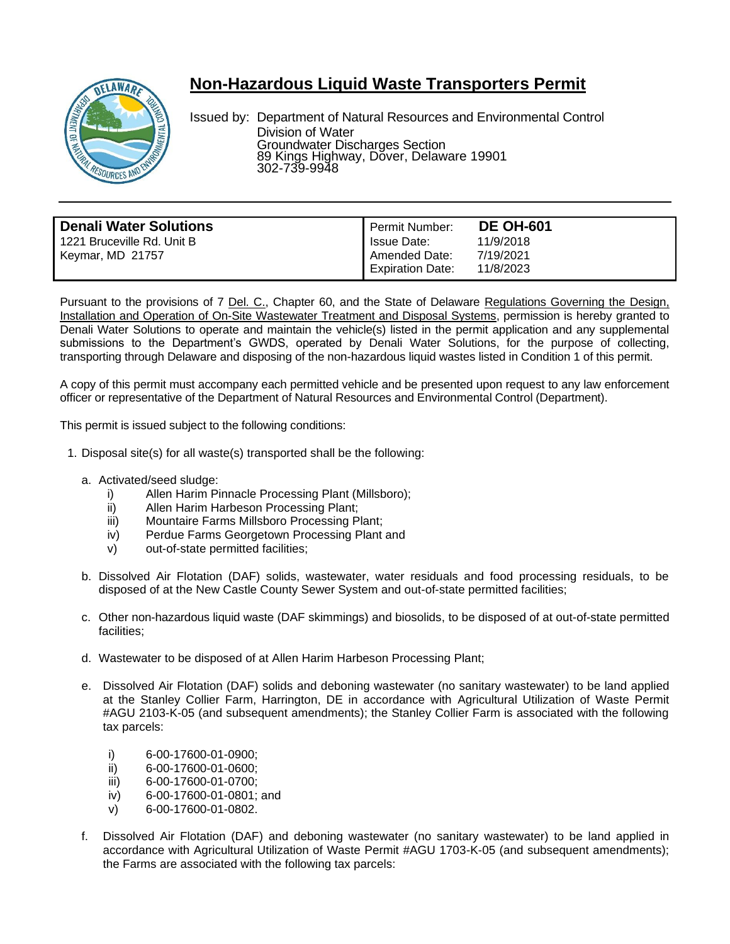

## **Non-Hazardous Liquid Waste Transporters Permit**

Issued by: Department of Natural Resources and Environmental Control Division of Water Groundwater Discharges Section 89 Kings Highway, Dover, Delaware 19901 302-739-9948

| <b>Denali Water Solutions</b> | Permit Number:          | <b>DE OH-601</b> |
|-------------------------------|-------------------------|------------------|
| 1221 Bruceville Rd. Unit B    | Issue Date:             | 11/9/2018        |
| Keymar, MD 21757              | Amended Date:           | 7/19/2021        |
|                               | <b>Expiration Date:</b> | 11/8/2023        |
|                               |                         |                  |

Pursuant to the provisions of 7 Del. C., Chapter 60, and the State of Delaware Regulations Governing the Design, Installation and Operation of On-Site Wastewater Treatment and Disposal Systems, permission is hereby granted to Denali Water Solutions to operate and maintain the vehicle(s) listed in the permit application and any supplemental submissions to the Department's GWDS, operated by Denali Water Solutions, for the purpose of collecting, transporting through Delaware and disposing of the non-hazardous liquid wastes listed in Condition 1 of this permit.

A copy of this permit must accompany each permitted vehicle and be presented upon request to any law enforcement officer or representative of the Department of Natural Resources and Environmental Control (Department).

This permit is issued subject to the following conditions:

- 1. Disposal site(s) for all waste(s) transported shall be the following:
	- a. Activated/seed sludge:
		- i) Allen Harim Pinnacle Processing Plant (Millsboro);
		- ii) Allen Harim Harbeson Processing Plant;
		- iii) Mountaire Farms Millsboro Processing Plant;
		- iv) Perdue Farms Georgetown Processing Plant and
		- v) out-of-state permitted facilities;
	- b. Dissolved Air Flotation (DAF) solids, wastewater, water residuals and food processing residuals, to be disposed of at the New Castle County Sewer System and out-of-state permitted facilities;
	- c. Other non-hazardous liquid waste (DAF skimmings) and biosolids, to be disposed of at out-of-state permitted facilities;
	- d. Wastewater to be disposed of at Allen Harim Harbeson Processing Plant;
	- e. Dissolved Air Flotation (DAF) solids and deboning wastewater (no sanitary wastewater) to be land applied at the Stanley Collier Farm, Harrington, DE in accordance with Agricultural Utilization of Waste Permit #AGU 2103-K-05 (and subsequent amendments); the Stanley Collier Farm is associated with the following tax parcels:
		- i) 6-00-17600-01-0900;
		- ii) 6-00-17600-01-0600;
		- iii) 6-00-17600-01-0700;
		- iv) 6-00-17600-01-0801; and
		- v) 6-00-17600-01-0802.
	- f. Dissolved Air Flotation (DAF) and deboning wastewater (no sanitary wastewater) to be land applied in accordance with Agricultural Utilization of Waste Permit #AGU 1703-K-05 (and subsequent amendments); the Farms are associated with the following tax parcels: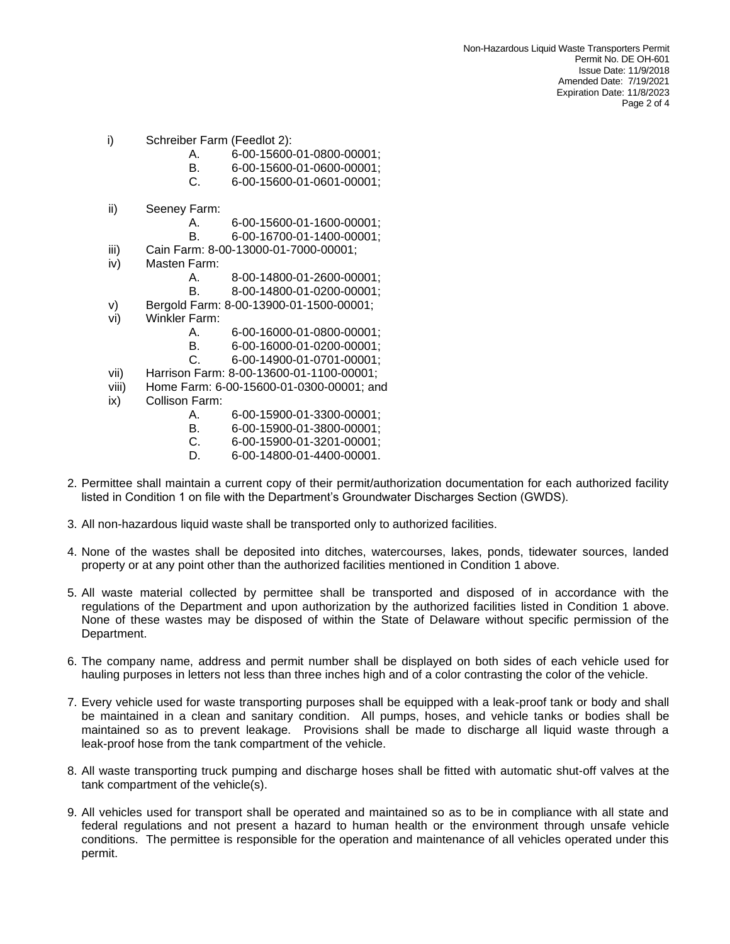- i) Schreiber Farm (Feedlot 2):
	- A. 6-00-15600-01-0800-00001;
	- B. 6-00-15600-01-0600-00001;
	- C. 6-00-15600-01-0601-00001;
- ii) Seeney Farm:
	- A. 6-00-15600-01-1600-00001;
	- B. 6-00-16700-01-1400-00001;
- iii) Cain Farm: 8-00-13000-01-7000-00001;
- iv) Masten Farm:
	- A. 8-00-14800-01-2600-00001;
	- B. 8-00-14800-01-0200-00001;
- v) Bergold Farm: 8-00-13900-01-1500-00001;
- vi) Winkler Farm:
	- A. 6-00-16000-01-0800-00001;
	- B. 6-00-16000-01-0200-00001;
	- C. 6-00-14900-01-0701-00001;
- vii) Harrison Farm: 8-00-13600-01-1100-00001;
- viii) Home Farm: 6-00-15600-01-0300-00001; and
- ix) Collison Farm:
	- A. 6-00-15900-01-3300-00001;
	- B. 6-00-15900-01-3800-00001;
	- C. 6-00-15900-01-3201-00001;
	- D. 6-00-14800-01-4400-00001.
- 2. Permittee shall maintain a current copy of their permit/authorization documentation for each authorized facility listed in Condition 1 on file with the Department's Groundwater Discharges Section (GWDS).
- 3. All non-hazardous liquid waste shall be transported only to authorized facilities.
- 4. None of the wastes shall be deposited into ditches, watercourses, lakes, ponds, tidewater sources, landed property or at any point other than the authorized facilities mentioned in Condition 1 above.
- 5. All waste material collected by permittee shall be transported and disposed of in accordance with the regulations of the Department and upon authorization by the authorized facilities listed in Condition 1 above. None of these wastes may be disposed of within the State of Delaware without specific permission of the Department.
- 6. The company name, address and permit number shall be displayed on both sides of each vehicle used for hauling purposes in letters not less than three inches high and of a color contrasting the color of the vehicle.
- 7. Every vehicle used for waste transporting purposes shall be equipped with a leak-proof tank or body and shall be maintained in a clean and sanitary condition. All pumps, hoses, and vehicle tanks or bodies shall be maintained so as to prevent leakage. Provisions shall be made to discharge all liquid waste through a leak-proof hose from the tank compartment of the vehicle.
- 8. All waste transporting truck pumping and discharge hoses shall be fitted with automatic shut-off valves at the tank compartment of the vehicle(s).
- 9. All vehicles used for transport shall be operated and maintained so as to be in compliance with all state and federal regulations and not present a hazard to human health or the environment through unsafe vehicle conditions. The permittee is responsible for the operation and maintenance of all vehicles operated under this permit.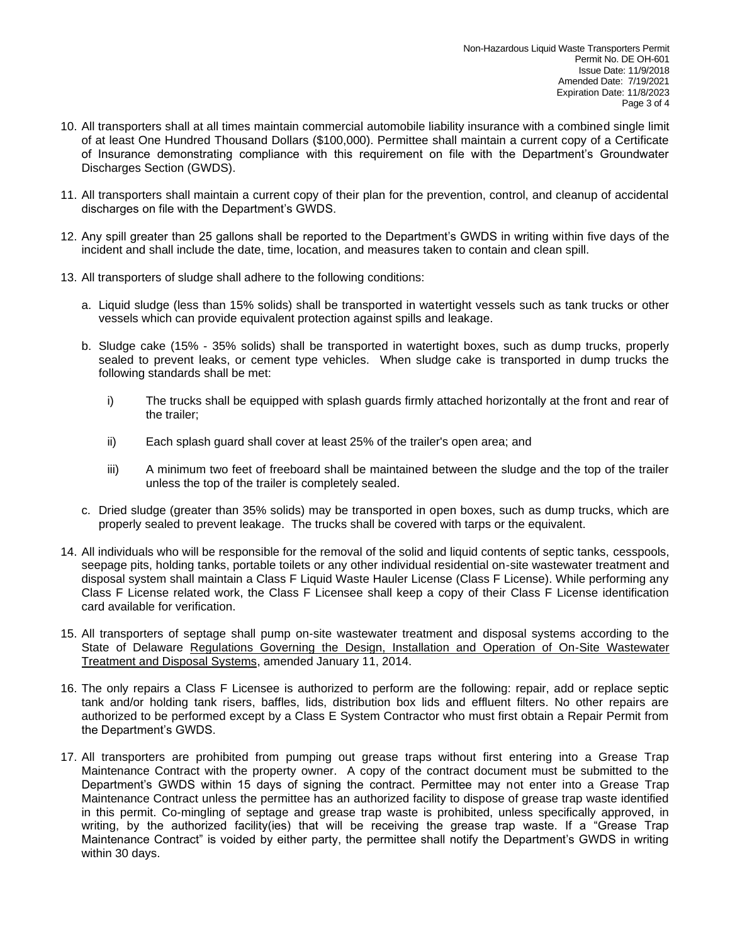- 10. All transporters shall at all times maintain commercial automobile liability insurance with a combined single limit of at least One Hundred Thousand Dollars (\$100,000). Permittee shall maintain a current copy of a Certificate of Insurance demonstrating compliance with this requirement on file with the Department's Groundwater Discharges Section (GWDS).
- 11. All transporters shall maintain a current copy of their plan for the prevention, control, and cleanup of accidental discharges on file with the Department's GWDS.
- 12. Any spill greater than 25 gallons shall be reported to the Department's GWDS in writing within five days of the incident and shall include the date, time, location, and measures taken to contain and clean spill.
- 13. All transporters of sludge shall adhere to the following conditions:
	- a. Liquid sludge (less than 15% solids) shall be transported in watertight vessels such as tank trucks or other vessels which can provide equivalent protection against spills and leakage.
	- b. Sludge cake (15% 35% solids) shall be transported in watertight boxes, such as dump trucks, properly sealed to prevent leaks, or cement type vehicles. When sludge cake is transported in dump trucks the following standards shall be met:
		- i) The trucks shall be equipped with splash guards firmly attached horizontally at the front and rear of the trailer;
		- ii) Each splash guard shall cover at least 25% of the trailer's open area; and
		- iii) A minimum two feet of freeboard shall be maintained between the sludge and the top of the trailer unless the top of the trailer is completely sealed.
	- c. Dried sludge (greater than 35% solids) may be transported in open boxes, such as dump trucks, which are properly sealed to prevent leakage. The trucks shall be covered with tarps or the equivalent.
- 14. All individuals who will be responsible for the removal of the solid and liquid contents of septic tanks, cesspools, seepage pits, holding tanks, portable toilets or any other individual residential on-site wastewater treatment and disposal system shall maintain a Class F Liquid Waste Hauler License (Class F License). While performing any Class F License related work, the Class F Licensee shall keep a copy of their Class F License identification card available for verification.
- 15. All transporters of septage shall pump on-site wastewater treatment and disposal systems according to the State of Delaware Regulations Governing the Design, Installation and Operation of On-Site Wastewater Treatment and Disposal Systems, amended January 11, 2014.
- 16. The only repairs a Class F Licensee is authorized to perform are the following: repair, add or replace septic tank and/or holding tank risers, baffles, lids, distribution box lids and effluent filters. No other repairs are authorized to be performed except by a Class E System Contractor who must first obtain a Repair Permit from the Department's GWDS.
- 17. All transporters are prohibited from pumping out grease traps without first entering into a Grease Trap Maintenance Contract with the property owner. A copy of the contract document must be submitted to the Department's GWDS within 15 days of signing the contract. Permittee may not enter into a Grease Trap Maintenance Contract unless the permittee has an authorized facility to dispose of grease trap waste identified in this permit. Co-mingling of septage and grease trap waste is prohibited, unless specifically approved, in writing, by the authorized facility(ies) that will be receiving the grease trap waste. If a "Grease Trap Maintenance Contract" is voided by either party, the permittee shall notify the Department's GWDS in writing within 30 days.